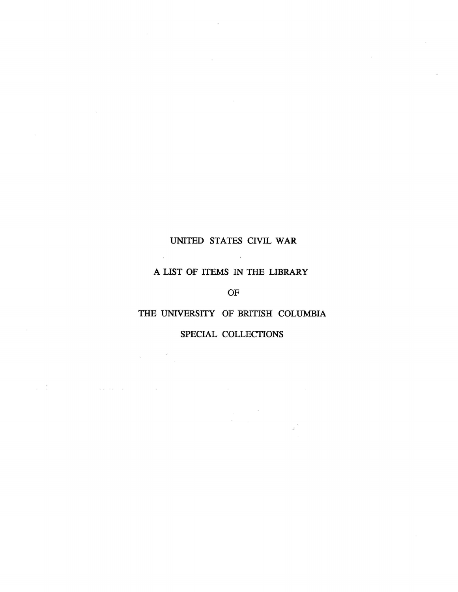## UNITED STATES CIVIL WAR

 $\sim$  10  $\pm$ 

#### A LIST OF ITEMS IN THE LIBRARY

OF

## THE UNIVERSITY OF BRITISH COLUMBIA

### SPECIAL COLLECTIONS

 $\bar{\lambda}$ 

 $-\frac{1}{2}$  .